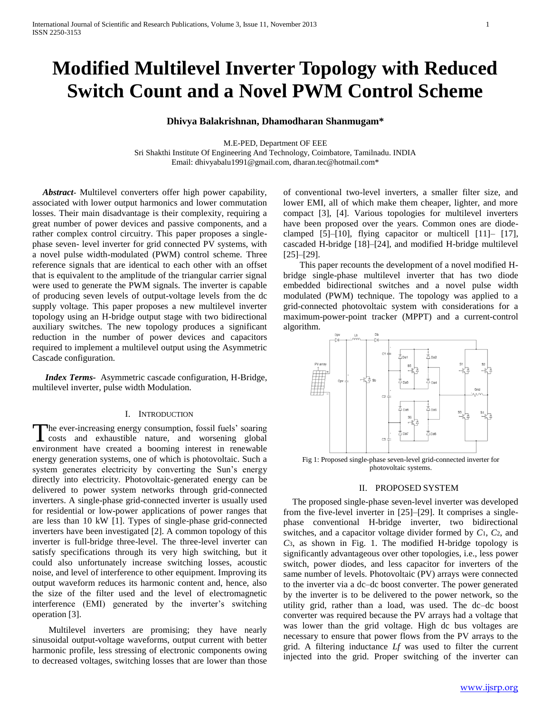# **Modified Multilevel Inverter Topology with Reduced Switch Count and a Novel PWM Control Scheme**

### **Dhivya Balakrishnan, Dhamodharan Shanmugam\***

M.E-PED, Department OF EEE Sri Shakthi Institute Of Engineering And Technology, Coimbatore, Tamilnadu. INDIA Email: [dhivyabalu1991@gmail.com,](mailto:dhivyabalu1991@gmail.com) dharan.tec@hotmail.com\*

 *Abstract***-** Multilevel converters offer high power capability, associated with lower output harmonics and lower commutation losses. Their main disadvantage is their complexity, requiring a great number of power devices and passive components, and a rather complex control circuitry. This paper proposes a singlephase seven- level inverter for grid connected PV systems, with a novel pulse width-modulated (PWM) control scheme. Three reference signals that are identical to each other with an offset that is equivalent to the amplitude of the triangular carrier signal were used to generate the PWM signals. The inverter is capable of producing seven levels of output-voltage levels from the dc supply voltage. This paper proposes a new multilevel inverter topology using an H-bridge output stage with two bidirectional auxiliary switches. The new topology produces a significant reduction in the number of power devices and capacitors required to implement a multilevel output using the Asymmetric Cascade configuration.

*Index Terms-* Asymmetric cascade configuration, H-Bridge, multilevel inverter, pulse width Modulation.

#### I. INTRODUCTION

he ever-increasing energy consumption, fossil fuels' soaring The ever-increasing energy consumption, fossil fuels' soaring<br>costs and exhaustible nature, and worsening global environment have created a booming interest in renewable energy generation systems, one of which is photovoltaic. Such a system generates electricity by converting the Sun's energy directly into electricity. Photovoltaic-generated energy can be delivered to power system networks through grid-connected inverters. A single-phase grid-connected inverter is usually used for residential or low-power applications of power ranges that are less than 10 kW [1]. Types of single-phase grid-connected inverters have been investigated [2]. A common topology of this inverter is full-bridge three-level. The three-level inverter can satisfy specifications through its very high switching, but it could also unfortunately increase switching losses, acoustic noise, and level of interference to other equipment. Improving its output waveform reduces its harmonic content and, hence, also the size of the filter used and the level of electromagnetic interference (EMI) generated by the inverter's switching operation [3].

Multilevel inverters are promising; they have nearly sinusoidal output-voltage waveforms, output current with better harmonic profile, less stressing of electronic components owing to decreased voltages, switching losses that are lower than those of conventional two-level inverters, a smaller filter size, and lower EMI, all of which make them cheaper, lighter, and more compact [3], [4]. Various topologies for multilevel inverters have been proposed over the years. Common ones are diodeclamped [5]–[10], flying capacitor or multicell [11]– [17], cascaded H-bridge [18]–[24], and modified H-bridge multilevel [25]–[29].

This paper recounts the development of a novel modified Hbridge single-phase multilevel inverter that has two diode embedded bidirectional switches and a novel pulse width modulated (PWM) technique. The topology was applied to a grid-connected photovoltaic system with considerations for a maximum-power-point tracker (MPPT) and a current-control algorithm.



photovoltaic systems.

## II. PROPOSED SYSTEM

 The proposed single-phase seven-level inverter was developed from the five-level inverter in [25]–[29]. It comprises a singlephase conventional H-bridge inverter, two bidirectional switches, and a capacitor voltage divider formed by *C*1, *C*2, and *C*3, as shown in Fig. 1. The modified H-bridge topology is significantly advantageous over other topologies, i.e., less power switch, power diodes, and less capacitor for inverters of the same number of levels. Photovoltaic (PV) arrays were connected to the inverter via a dc–dc boost converter. The power generated by the inverter is to be delivered to the power network, so the utility grid, rather than a load, was used. The dc–dc boost converter was required because the PV arrays had a voltage that was lower than the grid voltage. High dc bus voltages are necessary to ensure that power flows from the PV arrays to the grid. A filtering inductance *Lf* was used to filter the current injected into the grid. Proper switching of the inverter can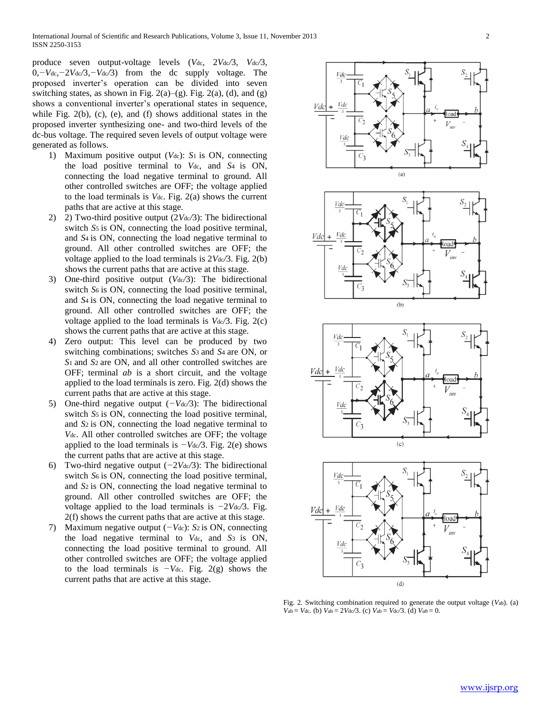produce seven output-voltage levels (*V*dc*,* 2*V*dc*/*3*, V*dc*/*3*,*  0*,−V*dc*,−*2*V*dc*/*3*,−V*dc*/*3) from the dc supply voltage. The proposed inverter's operation can be divided into seven switching states, as shown in Fig.  $2(a)$ – $(g)$ . Fig.  $2(a)$ ,  $(d)$ , and  $(g)$ shows a conventional inverter's operational states in sequence, while Fig. 2(b), (c), (e), and (f) shows additional states in the proposed inverter synthesizing one- and two-third levels of the dc-bus voltage. The required seven levels of output voltage were generated as follows.

- 1) Maximum positive output (*V*dc): *S*1 is ON, connecting the load positive terminal to *V*dc, and *S*4 is ON, connecting the load negative terminal to ground. All other controlled switches are OFF; the voltage applied to the load terminals is *V*dc. Fig. 2(a) shows the current paths that are active at this stage.
- 2) 2) Two-third positive output (2Vdc/3): The bidirectional switch *S*<sub>5</sub> is ON, connecting the load positive terminal, and *S*4 is ON, connecting the load negative terminal to ground. All other controlled switches are OFF; the voltage applied to the load terminals is 2*V*dc*/*3. Fig. 2(b) shows the current paths that are active at this stage.
- 3) One-third positive output (*V*dc*/*3): The bidirectional switch *S*<sup>6</sup> is ON, connecting the load positive terminal, and *S*4 is ON, connecting the load negative terminal to ground. All other controlled switches are OFF; the voltage applied to the load terminals is *V*dc*/*3. Fig. 2(c) shows the current paths that are active at this stage.
- 4) Zero output: This level can be produced by two switching combinations; switches *S*3 and *S*4 are ON, or *S*1 and *S*2 are ON, and all other controlled switches are OFF; terminal *ab* is a short circuit, and the voltage applied to the load terminals is zero. Fig. 2(d) shows the current paths that are active at this stage.
- 5) One-third negative output (*−V*dc*/*3): The bidirectional switch *S*<sub>5</sub> is ON, connecting the load positive terminal, and *S*2 is ON, connecting the load negative terminal to *V*dc. All other controlled switches are OFF; the voltage applied to the load terminals is *−V*dc*/*3. Fig. 2(e) shows the current paths that are active at this stage.
- 6) Two-third negative output (*−*2*V*dc*/*3): The bidirectional switch *S*6 is ON, connecting the load positive terminal, and *S*2 is ON, connecting the load negative terminal to ground. All other controlled switches are OFF; the voltage applied to the load terminals is *−*2*V*dc*/*3. Fig. 2(f) shows the current paths that are active at this stage.
- 7) Maximum negative output (*−V*dc): *S*2 is ON, connecting the load negative terminal to *V*dc, and *S*3 is ON, connecting the load positive terminal to ground. All other controlled switches are OFF; the voltage applied to the load terminals is *−V*dc. Fig. 2(g) shows the current paths that are active at this stage.



Fig. 2. Switching combination required to generate the output voltage (*V*ab). (a)  $V_{ab} = V_{dc}$ . (b)  $V_{ab} = 2V_{dc}/3$ . (c)  $V_{ab} = V_{dc}/3$ . (d)  $V_{ab} = 0$ .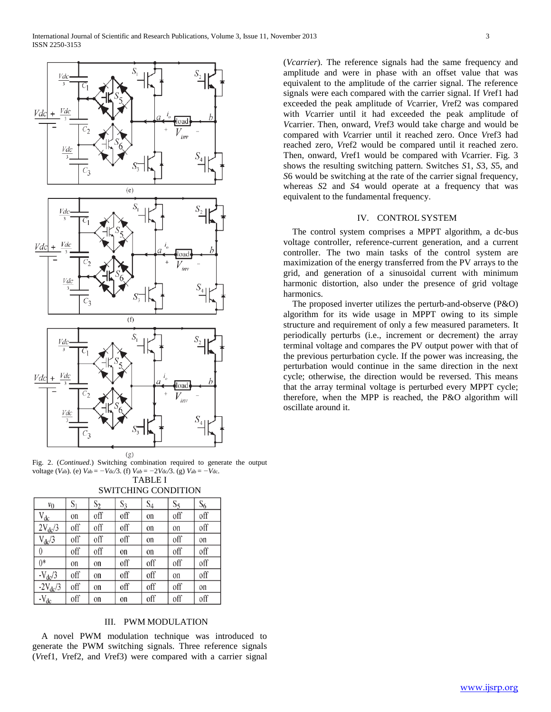

Fig. 2. (*Continued*.) Switching combination required to generate the output voltage (*V*ab). (e) *V*ab = *−V*dc*/*3. (f) *Vab* = *−*2*V*dc*/*3. (g) *V*ab = *−V*dc.

TABLE I SWITCHING CONDITION

|                    | 5 MITCHING CONDITION |       |       |       |       |       |
|--------------------|----------------------|-------|-------|-------|-------|-------|
| $v_0$              | S <sub>1</sub>       | $S_2$ | $S_3$ | $S_4$ | $S_5$ | $S_6$ |
| $V_{dc}$           | on                   | off   | off   | on    | off   | off   |
| $2V_{dc}/3$        | off                  | off   | off   | on    | on    | off   |
| $V_{dc}/3$         | off                  | off   | off   | on    | off   | on    |
| $\theta$           | off                  | off   | on    | on    | off   | off   |
| $0*$               | on                   | on    | off   | off   | off   | off   |
| $-V_{\text{dc}}/3$ | off                  | on    | off   | off   | on    | off   |
| $-2V_{dc}/3$       | off                  | on    | off   | off   | off   | on    |
| $-V_{dc}$          | off                  | on    | on    | off   | off   | off   |

# III. PWM MODULATION

 A novel PWM modulation technique was introduced to generate the PWM switching signals. Three reference signals (*V*ref1, *V*ref2, and *V*ref3) were compared with a carrier signal (*Vcarrier*). The reference signals had the same frequency and amplitude and were in phase with an offset value that was equivalent to the amplitude of the carrier signal. The reference signals were each compared with the carrier signal. If *V*ref1 had exceeded the peak amplitude of *V*carrier, *V*ref2 was compared with *V*carrier until it had exceeded the peak amplitude of *V*carrier. Then, onward, *V*ref3 would take charge and would be compared with *V*carrier until it reached zero. Once *V*ref3 had reached zero, *V*ref2 would be compared until it reached zero. Then, onward, *V*ref1 would be compared with *V*carrier. Fig. 3 shows the resulting switching pattern. Switches *S*1, *S*3, *S*5, and *S*6 would be switching at the rate of the carrier signal frequency, whereas *S*2 and *S*4 would operate at a frequency that was equivalent to the fundamental frequency.

# IV. CONTROL SYSTEM

 The control system comprises a MPPT algorithm, a dc-bus voltage controller, reference-current generation, and a current controller. The two main tasks of the control system are maximization of the energy transferred from the PV arrays to the grid, and generation of a sinusoidal current with minimum harmonic distortion, also under the presence of grid voltage harmonics.

 The proposed inverter utilizes the perturb-and-observe (P&O) algorithm for its wide usage in MPPT owing to its simple structure and requirement of only a few measured parameters. It periodically perturbs (i.e., increment or decrement) the array terminal voltage and compares the PV output power with that of the previous perturbation cycle. If the power was increasing, the perturbation would continue in the same direction in the next cycle; otherwise, the direction would be reversed. This means that the array terminal voltage is perturbed every MPPT cycle; therefore, when the MPP is reached, the P&O algorithm will oscillate around it.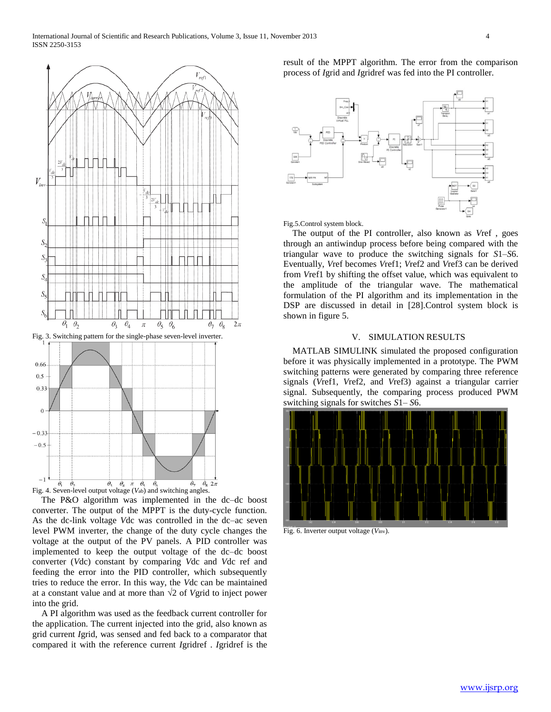

 The P&O algorithm was implemented in the dc–dc boost converter. The output of the MPPT is the duty-cycle function. As the dc-link voltage *V*dc was controlled in the dc–ac seven level PWM inverter, the change of the duty cycle changes the voltage at the output of the PV panels. A PID controller was implemented to keep the output voltage of the dc–dc boost converter (*V*dc) constant by comparing *V*dc and *V*dc ref and feeding the error into the PID controller, which subsequently tries to reduce the error. In this way, the *V*dc can be maintained at a constant value and at more than *√*2 of *V*grid to inject power into the grid.

 A PI algorithm was used as the feedback current controller for the application. The current injected into the grid, also known as grid current *I*grid, was sensed and fed back to a comparator that compared it with the reference current *I*gridref . *I*gridref is the result of the MPPT algorithm. The error from the comparison process of *I*grid and *I*gridref was fed into the PI controller.



Fig.5.Control system block.

 The output of the PI controller, also known as *V*ref , goes through an antiwindup process before being compared with the triangular wave to produce the switching signals for *S*1–*S*6. Eventually, *V*ref becomes *V*ref1; *V*ref2 and *V*ref3 can be derived from *V*ref1 by shifting the offset value, which was equivalent to the amplitude of the triangular wave. The mathematical formulation of the PI algorithm and its implementation in the DSP are discussed in detail in [28].Control system block is shown in figure 5.

#### V. SIMULATION RESULTS

 MATLAB SIMULINK simulated the proposed configuration before it was physically implemented in a prototype. The PWM switching patterns were generated by comparing three reference signals (*V*ref1, *V*ref2, and *V*ref3) against a triangular carrier signal. Subsequently, the comparing process produced PWM switching signals for switches *S*1– *S*6.



Fig. 6. Inverter output voltage (*V*inv).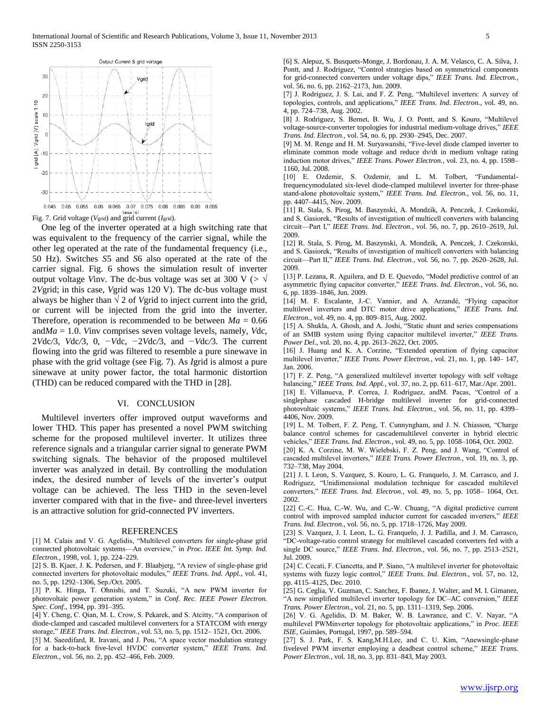

Fig. 7. Grid voltage (*V*grid) and grid current (*I*grid).

 One leg of the inverter operated at a high switching rate that was equivalent to the frequency of the carrier signal, while the other leg operated at the rate of the fundamental frequency (i.e., 50 Hz). Switches *S*5 and *S*6 also operated at the rate of the carrier signal. Fig. 6 shows the simulation result of inverter output voltage *Vinv*. The dc-bus voltage was set at 300 V ( $>$   $\sqrt{ }$ 2*V*grid; in this case, *V*grid was 120 V). The dc-bus voltage must always be higher than  $\sqrt{2}$  of *V*grid to inject current into the grid, or current will be injected from the grid into the inverter. Therefore, operation is recommended to be between  $Ma = 0.66$ and*Ma* = 1*.*0. *V*inv comprises seven voltage levels, namely, *V*dc, 2*V*dc*/*3, *V*dc*/*3, 0, *−V*dc, *−*2*V*dc*/*3, and *−V*dc*/*3. The current flowing into the grid was filtered to resemble a pure sinewave in phase with the grid voltage (see Fig. 7). As *I*grid is almost a pure sinewave at unity power factor, the total harmonic distortion (THD) can be reduced compared with the THD in [28].

### VI. CONCLUSION

 Multilevel inverters offer improved output waveforms and lower THD. This paper has presented a novel PWM switching scheme for the proposed multilevel inverter. It utilizes three reference signals and a triangular carrier signal to generate PWM switching signals. The behavior of the proposed multilevel inverter was analyzed in detail. By controlling the modulation index, the desired number of levels of the inverter's output voltage can be achieved. The less THD in the seven-level inverter compared with that in the five- and three-level inverters is an attractive solution for grid-connected PV inverters.

#### REFERENCES

[1] M. Calais and V. G. Agelidis, "Multilevel converters for single-phase grid connected photovoltaic systems—An overview," in *Proc. IEEE Int. Symp. Ind. Electron.*, 1998, vol. 1, pp. 224–229.

[2] S. B. Kjaer, J. K. Pedersen, and F. Blaabjerg, "A review of single-phase grid connected inverters for photovoltaic modules," *IEEE Trans. Ind. Appl.*, vol. 41, no. 5, pp. 1292–1306, Sep./Oct. 2005.

[3] P. K. Hinga, T. Ohnishi, and T. Suzuki, "A new PWM inverter for photovoltaic power generation system," in *Conf. Rec. IEEE Power Electron. Spec. Conf.*, 1994, pp. 391–395.

[4] Y. Cheng, C. Qian, M. L. Crow, S. Pekarek, and S. Atcitty, "A comparison of diode-clamped and cascaded multilevel converters for a STATCOM with energy storage," *IEEE Trans. Ind. Electron.*, vol. 53, no. 5, pp. 1512– 1521, Oct. 2006.

[5] M. Saeedifard, R. Iravani, and J. Pou, "A space vector modulation strategy for a back-to-back five-level HVDC converter system," *IEEE Trans. Ind. Electron.*, vol. 56, no. 2, pp. 452–466, Feb. 2009.

[6] S. Alepuz, S. Busquets-Monge, J. Bordonau, J. A. M. Velasco, C. A. Silva, J. Pontt, and J. Rodríguez, "Control strategies based on symmetrical components for grid-connected converters under voltage dips," *IEEE Trans. Ind. Electron.*, vol. 56, no. 6, pp. 2162–2173, Jun. 2009.

[7] J. Rodríguez, J. S. Lai, and F. Z. Peng, "Multilevel inverters: A survey of topologies, controls, and applications," *IEEE Trans. Ind. Electron.*, vol. 49, no. 4, pp. 724–738, Aug. 2002.

[8] J. Rodriguez, S. Bernet, B. Wu, J. O. Pontt, and S. Kouro, "Multilevel voltage-source-converter topologies for industrial medium-voltage drives," *IEEE Trans. Ind. Electron.*, vol. 54, no. 6, pp. 2930–2945, Dec. 2007.

[9] M. M. Renge and H. M. Suryawanshi, "Five-level diode clamped inverter to eliminate common mode voltage and reduce dv/dt in medium voltage rating induction motor drives," *IEEE Trans. Power Electron.*, vol. 23, no. 4, pp. 1598– 1160, Jul. 2008.

[10] E. Ozdemir, S. Ozdemir, and L. M. Tolbert, "Fundamentalfrequencymodulated six-level diode-clamped multilevel inverter for three-phase stand-alone photovoltaic system," *IEEE Trans. Ind. Electron.*, vol. 56, no. 11, pp. 4407–4415, Nov. 2009.

[11] R. Stala, S. Pirog, M. Baszynski, A. Mondzik, A. Penczek, J. Czekonski, and S. Gasiorek, "Results of investigation of multicell converters with balancing circuit—Part I," *IEEE Trans. Ind. Electron.*, vol. 56, no. 7, pp. 2610–2619, Jul. 2009.

[12] R. Stala, S. Pirog, M. Baszynski, A. Mondzik, A. Penczek, J. Czekonski, and S. Gasiorek, "Results of investigation of multicell converters with balancing circuit—Part II," *IEEE Trans. Ind. Electron.*, vol. 56, no. 7, pp. 2620–2628, Jul. 2009.

[13] P. Lezana, R. Aguilera, and D. E. Quevedo, "Model predictive control of an asymmetric flying capacitor converter," *IEEE Trans. Ind. Electron.*, vol. 56, no. 6, pp. 1839–1846, Jun. 2009.

[14] M. F. Escalante, J.-C. Vannier, and A. Arzandé, "Flying capacitor multilevel inverters and DTC motor drive applications," *IEEE Trans. Ind. Electron.*, vol. 49, no. 4, pp. 809–815, Aug. 2002.

[15] A. Shukla, A. Ghosh, and A. Joshi, "Static shunt and series compensations of an SMIB system using flying capacitor multilevel inverter," *IEEE Trans. Power Del.*, vol. 20, no. 4, pp. 2613–2622, Oct. 2005.

[16] J. Huang and K. A. Corzine, "Extended operation of flying capacitor multilevel inverter," *IEEE Trans. Power Electron.*, vol. 21, no. 1, pp. 140– 147, Jan. 2006.

[17] F. Z. Peng, "A generalized multilevel inverter topology with self voltage balancing," *IEEE Trans. Ind. Appl.*, vol. 37, no. 2, pp. 611–617, Mar./Apr. 2001. [18] E. Villanueva, P. Correa, J. Rodríguez, andM. Pacas, "Control of a singlephase cascaded H-bridge multilevel inverter for grid-connected photovoltaic systems," *IEEE Trans. Ind. Electron.*, vol. 56, no. 11, pp. 4399– 4406, Nov. 2009.

[19] L. M. Tolbert, F. Z. Peng, T. Cunnyngham, and J. N. Chiasson, "Charge balance control schemes for cascademultilevel converter in hybrid electric vehicles," *IEEE Trans. Ind. Electron.*, vol. 49, no. 5, pp. 1058–1064, Oct. 2002.

[20] K. A. Corzine, M. W. Wielebski, F. Z. Peng, and J. Wang, "Control of cascaded multilevel inverters," *IEEE Trans. Power Electron.*, vol. 19, no. 3, pp. 732–738, May 2004.

[21] J. I. Leon, S. Vazquez, S. Kouro, L. G. Franquelo, J. M. Carrasco, and J. Rodriguez, "Unidimensional modulation technique for cascaded multilevel converters," *IEEE Trans. Ind. Electron.*, vol. 49, no. 5, pp. 1058– 1064, Oct. 2002.

[22] C.-C. Hua, C.-W. Wu, and C.-W. Chuang, "A digital predictive current control with improved sampled inductor current for cascaded inverters," *IEEE Trans. Ind. Electron.*, vol. 56, no. 5, pp. 1718–1726, May 2009.

[23] S. Vazquez, J. I. Leon, L. G. Franquelo, J. J. Padilla, and J. M. Carrasco, "DC-voltage-ratio control strategy for multilevel cascaded converters fed with a single DC source," *IEEE Trans. Ind. Electron.*, vol. 56, no. 7, pp. 2513–2521, Jul. 2009.

[24] C. Cecati, F. Ciancetta, and P. Siano, "A multilevel inverter for photovoltaic systems with fuzzy logic control," *IEEE Trans. Ind. Electron.*, vol. 57, no. 12, pp. 4115–4125, Dec. 2010.

[25] G. Ceglia, V. Guzman, C. Sanchez, F. Ibanez, J. Walter, and M. I. Gimanez, "A new simplified multilevel inverter topology for DC–AC conversion," *IEEE Trans. Power Electron.*, vol. 21, no. 5, pp. 1311–1319, Sep. 2006.

[26] V. G. Agelidis, D. M. Baker, W. B. Lawrance, and C. V. Nayar, "A multilevel PWMinverter topology for photovoltaic applications," in *Proc. IEEE ISIE*, Guimäes, Portugal, 1997, pp. 589–594.

[27] S. J. Park, F. S. Kang,M.H.Lee, and C. U. Kim, "Anewsingle-phase fivelevel PWM inverter employing a deadbeat control scheme," *IEEE Trans. Power Electron.*, vol. 18, no. 3, pp. 831–843, May 2003.